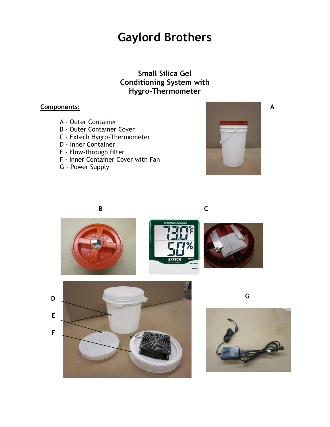**Small Silica Gel Conditioning System with Hygro-Thermometer**

#### **Components:**

- A Outer Container
- B Outer Container Cover
- C Extech Hygro-Thermometer
- D Inner Container
- E Flow-through filter
- F Inner Container Cover with Fan
- G Power Supply



**A**















**G**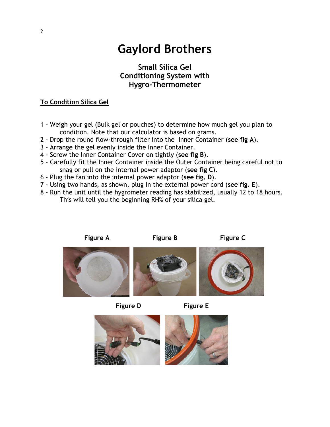### **Small Silica Gel Conditioning System with Hygro-Thermometer**

#### **To Condition Silica Gel**

- 1 Weigh your gel (Bulk gel or pouches) to determine how much gel you plan to condition. Note that our calculator is based on grams.
- 2 Drop the round flow-through filter into the Inner Container (**see fig A**).
- 3 Arrange the gel evenly inside the Inner Container.
- 4 Screw the Inner Container Cover on tightly (**see fig B**).
- 5 Carefully fit the Inner Container inside the Outer Container being careful not to snag or pull on the internal power adaptor (**see fig C**).
- 6 Plug the fan into the internal power adaptor (**see fig. D**).
- 7 Using two hands, as shown, plug in the external power cord (**see fig. E**).
- 8 Run the unit until the hygrometer reading has stabilized, usually 12 to 18 hours. This will tell you the beginning RH% of your silica gel.



**Figure D Figure E**

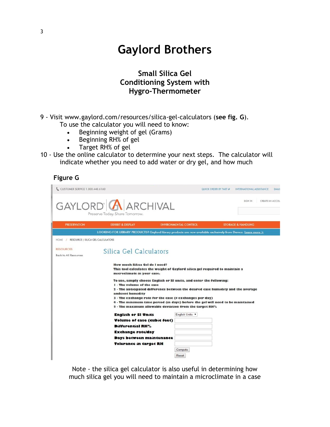### **Small Silica Gel Conditioning System with Hygro-Thermometer**

9 - Visit www.gaylord.com/resources/silica-gel-calculators (**see fig. G**).

To use the calculator you will need to know:

- Beginning weight of gel (Grams)
- Beginning RH% of gel
- Target RH% of gel
- 10 Use the online calculator to determine your next steps. The calculator will indicate whether you need to add water or dry gel, and how much

| ıgur <sup>,</sup> |  |
|-------------------|--|
|-------------------|--|

| CUSTOMER SERVICE 1.800.448.6160                  |                                                                                                                                                                                                           |                              | QUICK ORDER BY PART #<br>INTERNATIONAL ASSISTANCE | EMAIl |
|--------------------------------------------------|-----------------------------------------------------------------------------------------------------------------------------------------------------------------------------------------------------------|------------------------------|---------------------------------------------------|-------|
|                                                  | GAYLORD <b>A</b> ARCHIVAL<br>Preserve Today. Share Tomorrow.                                                                                                                                              |                              | <b>SIGN IN</b><br>CREATE AN ACCOL                 |       |
| <b><i>PRESERVATION</i></b>                       | <b>EXHIBIT &amp; DISPLAY</b>                                                                                                                                                                              | <b>ENVIRONMENTAL CONTROL</b> | <b>STORAGE &amp; HANDLING</b>                     |       |
|                                                  | LOOKING FOR LIBRARY PRODUCTS? Gaylord library products are now available exclusively from Demco. Learn more >                                                                                             |                              |                                                   |       |
| HOME / RESOURCE   SILICA GEL CALCULATORS         |                                                                                                                                                                                                           |                              |                                                   |       |
| <b>RESOURCES</b><br><b>Back to All Resources</b> | Silica Gel Calculators                                                                                                                                                                                    |                              |                                                   |       |
|                                                  | How much Silica Gel do I need?<br>This tool calculates the weight of Gaylord silica gel required to maintain a<br>microclimate in your case.                                                              |                              |                                                   |       |
|                                                  | To use, simply choose English or SI units, and enter the following:<br>1 - The volume of the case<br>2 - The anticipated difference between the desired case humidity and the average<br>ambient humidity |                              |                                                   |       |
|                                                  | 3 - The exchange rate for the case (# exchanges per day)                                                                                                                                                  |                              |                                                   |       |
|                                                  | 4 - The minimum time period (in days) before the gel will need to be maintained<br>5 - The maximum allowable deviation from the target RH%                                                                |                              |                                                   |       |
|                                                  | <b>English or SI Units</b>                                                                                                                                                                                | English Units v              |                                                   |       |
|                                                  | Volume of case (cubic feet)                                                                                                                                                                               |                              |                                                   |       |
|                                                  | <b>Differential RH%</b>                                                                                                                                                                                   |                              |                                                   |       |
|                                                  | <b>Exchange rate/day</b>                                                                                                                                                                                  |                              |                                                   |       |
|                                                  | Days between maintenance                                                                                                                                                                                  |                              |                                                   |       |
|                                                  | Tolerance in target RH                                                                                                                                                                                    |                              |                                                   |       |
|                                                  |                                                                                                                                                                                                           | Compute                      |                                                   |       |
|                                                  |                                                                                                                                                                                                           | Reset                        |                                                   |       |

Note - the silica gel calculator is also useful in determining how much silica gel you will need to maintain a microclimate in a case